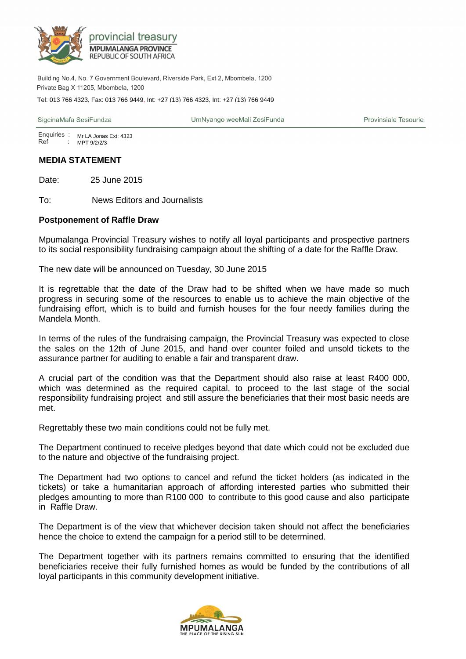

Building No.4, No. 7 Government Boulevard, Riverside Park, Ext 2, Mbombela, 1200 Private Bag X 11205, Mbombela, 1200

Tel: 013 766 4323, Fax: 013 766 9449, Int: +27 (13) 766 4323, Int: +27 (13) 766 9449

SigcinaMafa SesiFundza

UmNyango weeMali ZesiFunda

Provinsiale Tesourie

Enquiries: Mr LA Jonas Ext: 4323 Ref  $\mathcal{L}^{\mathcal{L}}$ MPT 9/2/2/3

## **MEDIA STATEMENT**

Date: 25 June 2015

To: News Editors and Journalists

## **Postponement of Raffle Draw**

Mpumalanga Provincial Treasury wishes to notify all loyal participants and prospective partners to its social responsibility fundraising campaign about the shifting of a date for the Raffle Draw.

The new date will be announced on Tuesday, 30 June 2015

It is regrettable that the date of the Draw had to be shifted when we have made so much progress in securing some of the resources to enable us to achieve the main objective of the fundraising effort, which is to build and furnish houses for the four needy families during the Mandela Month.

In terms of the rules of the fundraising campaign, the Provincial Treasury was expected to close the sales on the 12th of June 2015, and hand over counter foiled and unsold tickets to the assurance partner for auditing to enable a fair and transparent draw.

A crucial part of the condition was that the Department should also raise at least R400 000, which was determined as the required capital, to proceed to the last stage of the social responsibility fundraising project and still assure the beneficiaries that their most basic needs are met.

Regrettably these two main conditions could not be fully met.

The Department continued to receive pledges beyond that date which could not be excluded due to the nature and objective of the fundraising project.

The Department had two options to cancel and refund the ticket holders (as indicated in the tickets) or take a humanitarian approach of affording interested parties who submitted their pledges amounting to more than R100 000 to contribute to this good cause and also participate in Raffle Draw.

The Department is of the view that whichever decision taken should not affect the beneficiaries hence the choice to extend the campaign for a period still to be determined.

The Department together with its partners remains committed to ensuring that the identified beneficiaries receive their fully furnished homes as would be funded by the contributions of all loyal participants in this community development initiative.